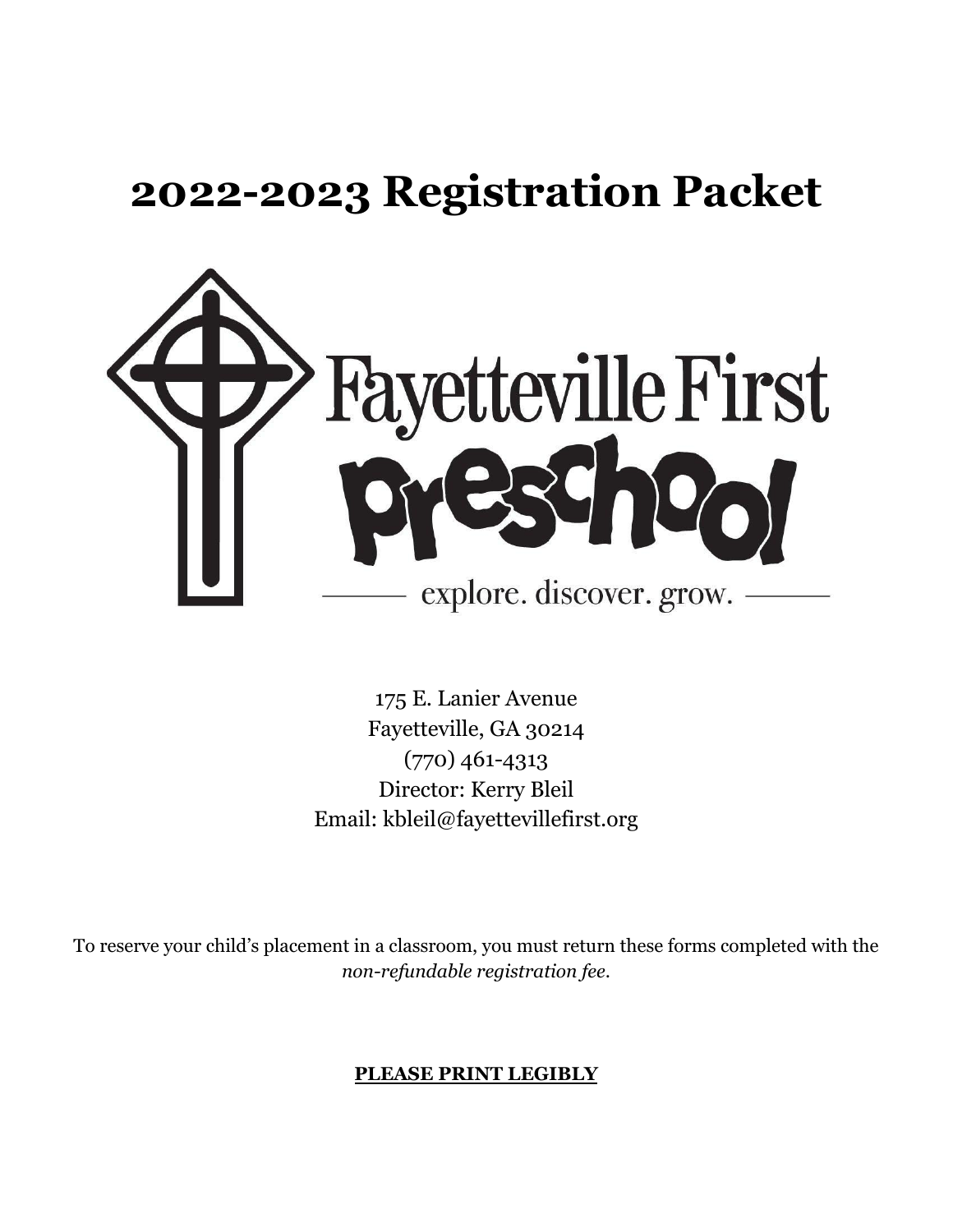# **2022-2023 Registration Packet**



175 E. Lanier Avenue Fayetteville, GA 30214 (770) 461-4313 Director: Kerry Bleil Email: kbleil@fayettevillefirst.org

To reserve your child's placement in a classroom, you must return these forms completed with the *non-refundable registration fee*.

# **PLEASE PRINT LEGIBLY**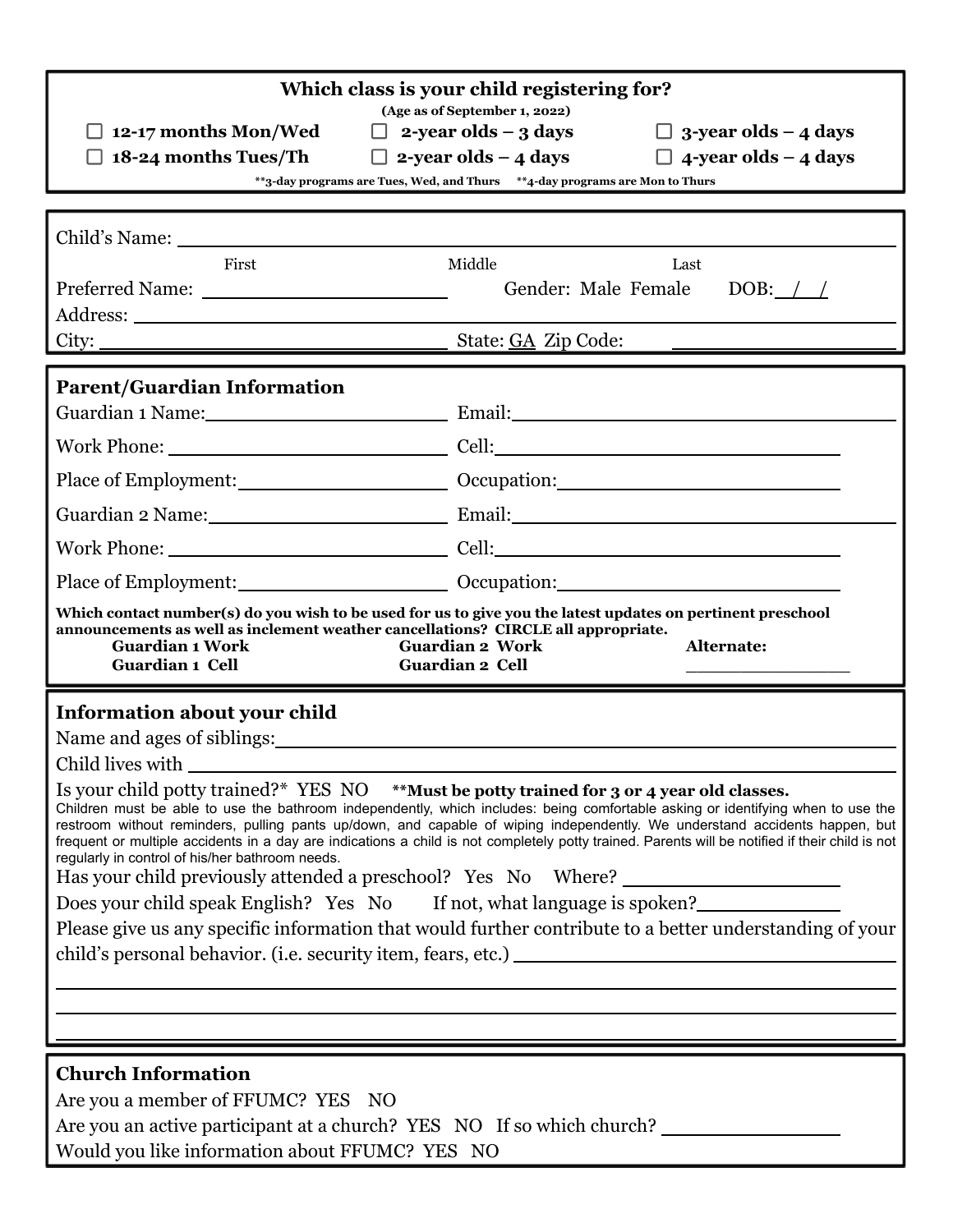| Which class is your child registering for?                                                                                                                                                                                                                                                                                                                                                                                                                                                                                                                         |  |  |  |  |  |
|--------------------------------------------------------------------------------------------------------------------------------------------------------------------------------------------------------------------------------------------------------------------------------------------------------------------------------------------------------------------------------------------------------------------------------------------------------------------------------------------------------------------------------------------------------------------|--|--|--|--|--|
| (Age as of September 1, 2022)<br>$\Box$ 2-year olds – 3 days<br>$\Box$ 3-year olds – 4 days<br>$\Box$ 12-17 months Mon/Wed                                                                                                                                                                                                                                                                                                                                                                                                                                         |  |  |  |  |  |
| $\Box$ 2-year olds – 4 days $\Box$ 4-year olds – 4 days<br>$\Box$ 18-24 months Tues/Th                                                                                                                                                                                                                                                                                                                                                                                                                                                                             |  |  |  |  |  |
| **3-day programs are Tues, Wed, and Thurs ***4-day programs are Mon to Thurs                                                                                                                                                                                                                                                                                                                                                                                                                                                                                       |  |  |  |  |  |
|                                                                                                                                                                                                                                                                                                                                                                                                                                                                                                                                                                    |  |  |  |  |  |
| Middle<br>First<br>Last                                                                                                                                                                                                                                                                                                                                                                                                                                                                                                                                            |  |  |  |  |  |
| Gender: Male Female<br>DOB: $\angle$                                                                                                                                                                                                                                                                                                                                                                                                                                                                                                                               |  |  |  |  |  |
|                                                                                                                                                                                                                                                                                                                                                                                                                                                                                                                                                                    |  |  |  |  |  |
| State: <u>GA</u> Zip Code:                                                                                                                                                                                                                                                                                                                                                                                                                                                                                                                                         |  |  |  |  |  |
| <b>Parent/Guardian Information</b>                                                                                                                                                                                                                                                                                                                                                                                                                                                                                                                                 |  |  |  |  |  |
| Guardian 1 Name: Email: Email: Email:                                                                                                                                                                                                                                                                                                                                                                                                                                                                                                                              |  |  |  |  |  |
|                                                                                                                                                                                                                                                                                                                                                                                                                                                                                                                                                                    |  |  |  |  |  |
|                                                                                                                                                                                                                                                                                                                                                                                                                                                                                                                                                                    |  |  |  |  |  |
| Guardian 2 Name: Email: Email: Email: Email: Email: Email: Email: Email: Email: Email: Email: Email: Email: Email: Email: Email: Email: Email: Email: Email: Email: Email: Email: Email: Email: Email: Email: Email: Email: Em                                                                                                                                                                                                                                                                                                                                     |  |  |  |  |  |
|                                                                                                                                                                                                                                                                                                                                                                                                                                                                                                                                                                    |  |  |  |  |  |
|                                                                                                                                                                                                                                                                                                                                                                                                                                                                                                                                                                    |  |  |  |  |  |
| Which contact number(s) do you wish to be used for us to give you the latest updates on pertinent preschool<br>announcements as well as inclement weather cancellations? CIRCLE all appropriate.<br><b>Guardian 1 Work</b><br><b>Guardian 2 Work</b><br>Alternate:<br><b>Guardian 2 Cell</b><br>Guardian 1 Cell                                                                                                                                                                                                                                                    |  |  |  |  |  |
|                                                                                                                                                                                                                                                                                                                                                                                                                                                                                                                                                                    |  |  |  |  |  |
|                                                                                                                                                                                                                                                                                                                                                                                                                                                                                                                                                                    |  |  |  |  |  |
| Information about your child<br>Name and ages of siblings:                                                                                                                                                                                                                                                                                                                                                                                                                                                                                                         |  |  |  |  |  |
| Child lives with                                                                                                                                                                                                                                                                                                                                                                                                                                                                                                                                                   |  |  |  |  |  |
| Is your child potty trained?* YES NO **Must be potty trained for 3 or 4 year old classes.<br>Children must be able to use the bathroom independently, which includes: being comfortable asking or identifying when to use the<br>restroom without reminders, pulling pants up/down, and capable of wiping independently. We understand accidents happen, but<br>frequent or multiple accidents in a day are indications a child is not completely potty trained. Parents will be notified if their child is not<br>regularly in control of his/her bathroom needs. |  |  |  |  |  |
| Has your child previously attended a preschool? Yes No Where? __________________<br>Does your child speak English? Yes No If not, what language is spoken?                                                                                                                                                                                                                                                                                                                                                                                                         |  |  |  |  |  |
| Please give us any specific information that would further contribute to a better understanding of your                                                                                                                                                                                                                                                                                                                                                                                                                                                            |  |  |  |  |  |
|                                                                                                                                                                                                                                                                                                                                                                                                                                                                                                                                                                    |  |  |  |  |  |
|                                                                                                                                                                                                                                                                                                                                                                                                                                                                                                                                                                    |  |  |  |  |  |
|                                                                                                                                                                                                                                                                                                                                                                                                                                                                                                                                                                    |  |  |  |  |  |
|                                                                                                                                                                                                                                                                                                                                                                                                                                                                                                                                                                    |  |  |  |  |  |
| <b>Church Information</b>                                                                                                                                                                                                                                                                                                                                                                                                                                                                                                                                          |  |  |  |  |  |
| Are you a member of FFUMC? YES NO<br>Are you an active participant at a church? YES NO If so which church?                                                                                                                                                                                                                                                                                                                                                                                                                                                         |  |  |  |  |  |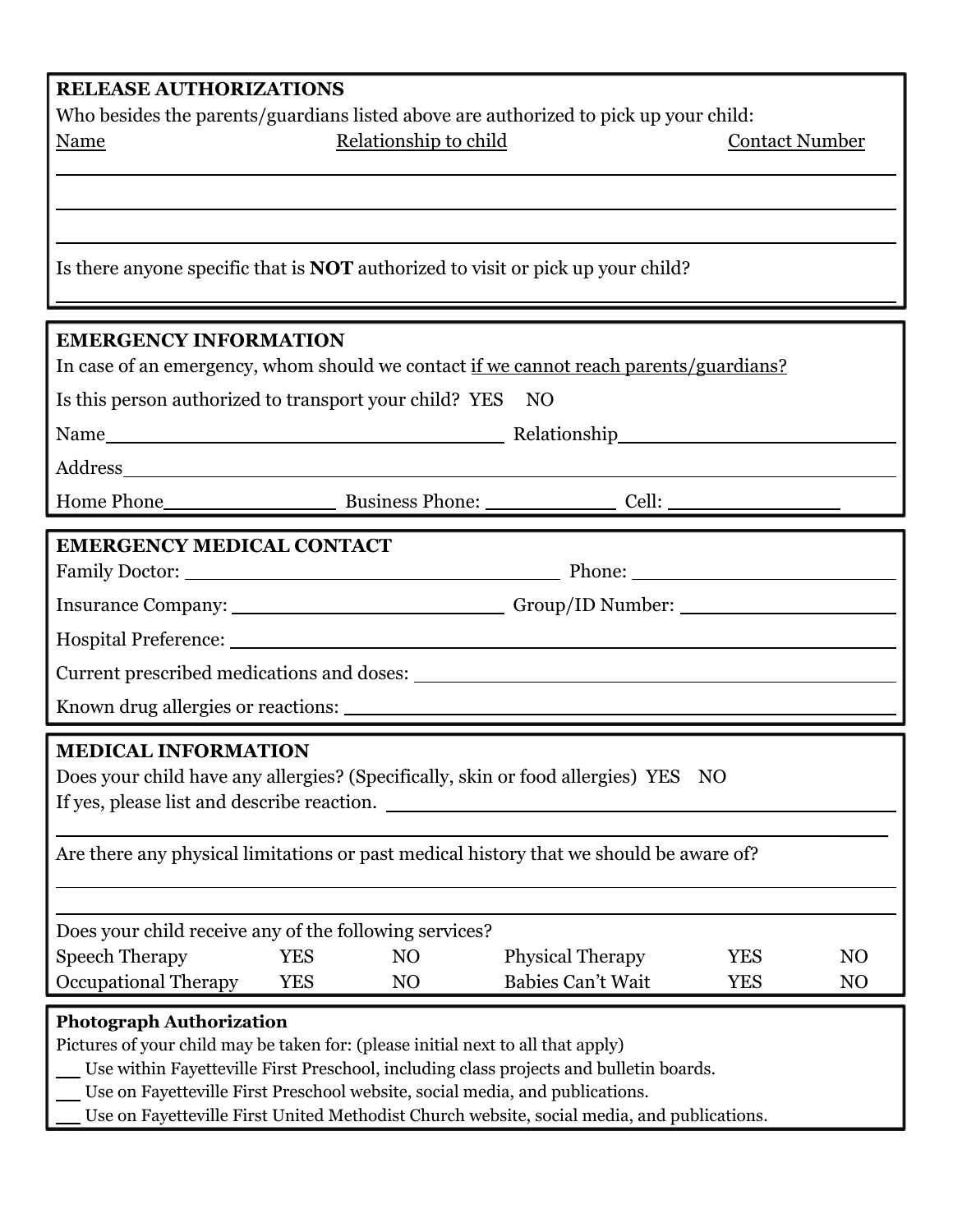## **RELEASE AUTHORIZATIONS**

Who besides the parents/guardians listed above are authorized to pick up your child: Name Relationship to child Contact Number

Is there anyone specific that is **NOT** authorized to visit or pick up your child?

| <b>EMERGENCY INFORMATION</b>                                                                                                                                                                                                                            |                                                                                                      |                 |                         |            |                |  |  |
|---------------------------------------------------------------------------------------------------------------------------------------------------------------------------------------------------------------------------------------------------------|------------------------------------------------------------------------------------------------------|-----------------|-------------------------|------------|----------------|--|--|
| In case of an emergency, whom should we contact if we cannot reach parents/guardians?                                                                                                                                                                   |                                                                                                      |                 |                         |            |                |  |  |
| Is this person authorized to transport your child? YES NO                                                                                                                                                                                               |                                                                                                      |                 |                         |            |                |  |  |
|                                                                                                                                                                                                                                                         |                                                                                                      |                 |                         |            |                |  |  |
|                                                                                                                                                                                                                                                         |                                                                                                      |                 |                         |            |                |  |  |
|                                                                                                                                                                                                                                                         |                                                                                                      |                 |                         |            |                |  |  |
| <b>EMERGENCY MEDICAL CONTACT</b>                                                                                                                                                                                                                        |                                                                                                      |                 |                         |            |                |  |  |
|                                                                                                                                                                                                                                                         |                                                                                                      |                 |                         |            |                |  |  |
|                                                                                                                                                                                                                                                         | Insurance Company: _________________________________Group/ID Number: _______________________________ |                 |                         |            |                |  |  |
|                                                                                                                                                                                                                                                         |                                                                                                      |                 |                         |            |                |  |  |
| Current prescribed medications and doses:                                                                                                                                                                                                               |                                                                                                      |                 |                         |            |                |  |  |
| Known drug allergies or reactions:                                                                                                                                                                                                                      |                                                                                                      |                 |                         |            |                |  |  |
| <b>MEDICAL INFORMATION</b><br>Does your child have any allergies? (Specifically, skin or food allergies) YES NO<br>If yes, please list and describe reaction.<br>Are there any physical limitations or past medical history that we should be aware of? |                                                                                                      |                 |                         |            |                |  |  |
| Does your child receive any of the following services?                                                                                                                                                                                                  |                                                                                                      |                 |                         |            |                |  |  |
| <b>Speech Therapy</b><br><b>YES</b>                                                                                                                                                                                                                     |                                                                                                      | NO              | <b>Physical Therapy</b> | <b>YES</b> | N <sub>O</sub> |  |  |
| Occupational Therapy YES                                                                                                                                                                                                                                |                                                                                                      | NO <sub>1</sub> | Babies Can't Wait       | <b>YES</b> | N <sub>O</sub> |  |  |
| <b>Photograph Authorization</b><br>Pictures of your child may be taken for: (please initial next to all that apply)<br>Use within Favettaville First Preschool, including class projects and bulletin boards                                            |                                                                                                      |                 |                         |            |                |  |  |

- tteville First Preschool, including class projects and bulletin boards.
- Use on Fayetteville First Preschool website, social media, and publications.
- Use on Fayetteville First United Methodist Church website, social media, and publications.